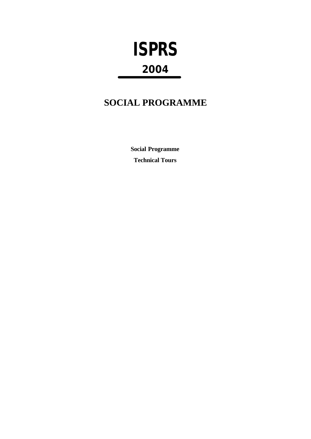# **ISPRS 2004**

### **SOCIAL PROGRAMME**

**Social Programme Technical Tours**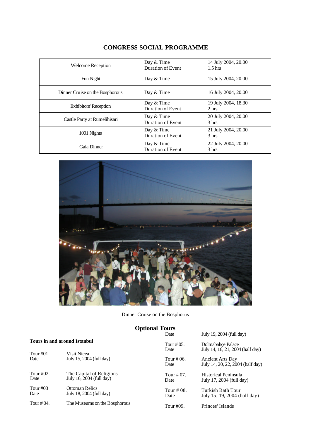| <b>Welcome Reception</b>        | Day & Time<br>Duration of Event | 14 July 2004, 20.00<br>1.5 <sub>hrs</sub> |
|---------------------------------|---------------------------------|-------------------------------------------|
| Fun Night                       | Day & Time                      | 15 July 2004, 20.00                       |
| Dinner Cruise on the Bosphorous | Day & Time                      | 16 July 2004, 20.00                       |
| <b>Exhibitors' Reception</b>    | Day & Time<br>Duration of Event | 19 July 2004, 18.30<br>2 hrs              |
| Castle Party at Rumelihisari    | Day & Time<br>Duration of Event | 20 July 2004, 20.00<br>3 <sub>hrs</sub>   |
| 1001 Nights                     | Day & Time<br>Duration of Event | 21 July 2004, 20.00<br>3 <sub>hrs</sub>   |
| Gala Dinner                     | Day & Time<br>Duration of Event | 22 July 2004, 20.00<br>3 hrs              |

#### **CONGRESS SOCIAL PROGRAMME**



Dinner Cruise on the Bosphorus

## **Optional Tours**

July 19, 2004 (full day)

#### **Tours in and around Istanbul**

| Tour $\#01$   | Tours in and around islandur  | Tour $\#$ 0.5.     | Dolmabahce Palace                                    |
|---------------|-------------------------------|--------------------|------------------------------------------------------|
|               | Visit Nicea                   | Date               | July 14, 16, 21, 2004 (half day)                     |
| Date          | July 15, 2004 (full day)      | Tour # 06.<br>Date | Ancient Arts Day<br>July 14, 20, 22, 2004 (half day) |
| Tour #02.     | The Capital of Religions      | Tour $\#07$ .      | Historical Peninsula                                 |
| Date          | July 16, 2004 (full day)      | Date               | July 17, 2004 (full day)                             |
| Tour $\#03$   | <b>Ottoman Relics</b>         | Tour # 08.         | Turkish Bath Tour                                    |
| Date          | July 18, 2004 (full day)      | Date               | July 15, 19, 2004 (half day)                         |
| Tour $\#$ 04. | The Museums on the Bosphorous | Tour #09.          | Princes' Islands                                     |